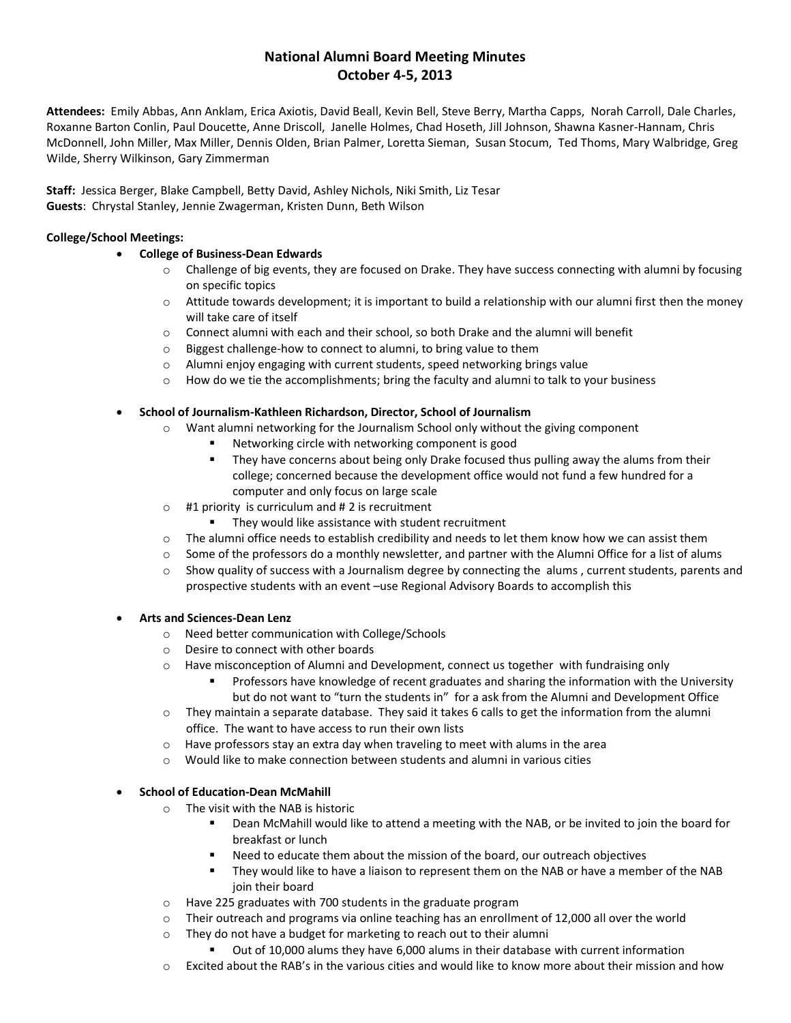# **National Alumni Board Meeting Minutes October 4-5, 2013**

**Attendees:** Emily Abbas, Ann Anklam, Erica Axiotis, David Beall, Kevin Bell, Steve Berry, Martha Capps, Norah Carroll, Dale Charles, Roxanne Barton Conlin, Paul Doucette, Anne Driscoll, Janelle Holmes, Chad Hoseth, Jill Johnson, Shawna Kasner-Hannam, Chris McDonnell, John Miller, Max Miller, Dennis Olden, Brian Palmer, Loretta Sieman, Susan Stocum, Ted Thoms, Mary Walbridge, Greg Wilde, Sherry Wilkinson, Gary Zimmerman

**Staff:** Jessica Berger, Blake Campbell, Betty David, Ashley Nichols, Niki Smith, Liz Tesar **Guests**: Chrystal Stanley, Jennie Zwagerman, Kristen Dunn, Beth Wilson

### **College/School Meetings:**

# • **College of Business-Dean Edwards**

- o Challenge of big events, they are focused on Drake. They have success connecting with alumni by focusing on specific topics
- $\circ$  Attitude towards development; it is important to build a relationship with our alumni first then the money will take care of itself
- o Connect alumni with each and their school, so both Drake and the alumni will benefit
- o Biggest challenge-how to connect to alumni, to bring value to them
- $\circ$  Alumni enjoy engaging with current students, speed networking brings value
- $\circ$  How do we tie the accomplishments; bring the faculty and alumni to talk to your business

# • **School of Journalism-Kathleen Richardson, Director, School of Journalism**

- $\circ$  Want alumni networking for the Journalism School only without the giving component
	- Networking circle with networking component is good
	- **•** They have concerns about being only Drake focused thus pulling away the alums from their college; concerned because the development office would not fund a few hundred for a computer and only focus on large scale
- $\circ$  #1 priority is curriculum and #2 is recruitment
	- They would like assistance with student recruitment
- $\circ$  The alumni office needs to establish credibility and needs to let them know how we can assist them
- o Some of the professors do a monthly newsletter, and partner with the Alumni Office for a list of alums
- $\circ$  Show quality of success with a Journalism degree by connecting the alums, current students, parents and prospective students with an event –use Regional Advisory Boards to accomplish this

#### • **Arts and Sciences-Dean Lenz**

- o Need better communication with College/Schools
- o Desire to connect with other boards
- $\circ$  Have misconception of Alumni and Development, connect us together with fundraising only
	- Professors have knowledge of recent graduates and sharing the information with the University but do not want to "turn the students in" for a ask from the Alumni and Development Office
- $\circ$  They maintain a separate database. They said it takes 6 calls to get the information from the alumni office. The want to have access to run their own lists
- o Have professors stay an extra day when traveling to meet with alums in the area
- o Would like to make connection between students and alumni in various cities

# • **School of Education-Dean McMahill**

- o The visit with the NAB is historic
	- Dean McMahill would like to attend a meeting with the NAB, or be invited to join the board for breakfast or lunch
	- Need to educate them about the mission of the board, our outreach objectives
	- They would like to have a liaison to represent them on the NAB or have a member of the NAB join their board
- o Have 225 graduates with 700 students in the graduate program
- $\circ$  Their outreach and programs via online teaching has an enrollment of 12,000 all over the world
- o They do not have a budget for marketing to reach out to their alumni
	- Out of 10,000 alums they have 6,000 alums in their database with current information
- $\circ$  Excited about the RAB's in the various cities and would like to know more about their mission and how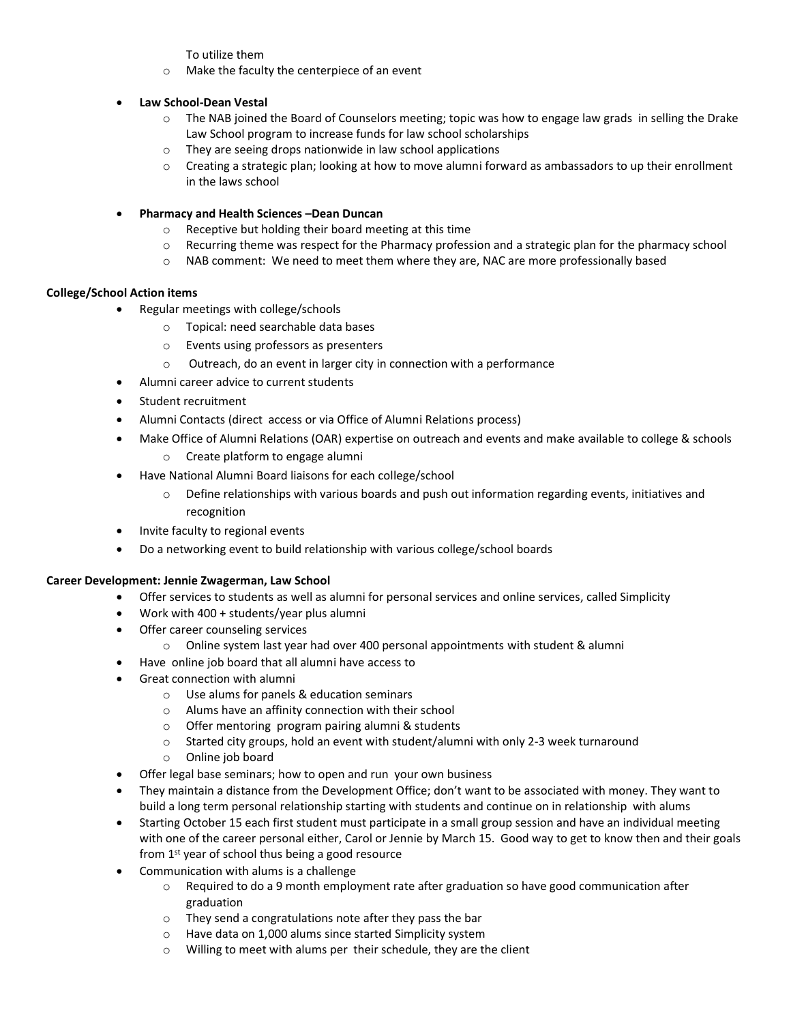To utilize them

- o Make the faculty the centerpiece of an event
- **Law School-Dean Vestal**
	- o The NAB joined the Board of Counselors meeting; topic was how to engage law grads in selling the Drake Law School program to increase funds for law school scholarships
	- o They are seeing drops nationwide in law school applications
	- $\circ$  Creating a strategic plan; looking at how to move alumni forward as ambassadors to up their enrollment in the laws school
- **Pharmacy and Health Sciences –Dean Duncan**
	- o Receptive but holding their board meeting at this time
	- $\circ$  Recurring theme was respect for the Pharmacy profession and a strategic plan for the pharmacy school
	- o NAB comment: We need to meet them where they are, NAC are more professionally based

# **College/School Action items**

- Regular meetings with college/schools
	- o Topical: need searchable data bases
	- o Events using professors as presenters
	- o Outreach, do an event in larger city in connection with a performance
- Alumni career advice to current students
- Student recruitment
- Alumni Contacts (direct access or via Office of Alumni Relations process)
- Make Office of Alumni Relations (OAR) expertise on outreach and events and make available to college & schools
	- o Create platform to engage alumni
- Have National Alumni Board liaisons for each college/school
	- Define relationships with various boards and push out information regarding events, initiatives and recognition
- Invite faculty to regional events
- Do a networking event to build relationship with various college/school boards

#### **Career Development: Jennie Zwagerman, Law School**

- Offer services to students as well as alumni for personal services and online services, called Simplicity
- Work with 400 + students/year plus alumni
- Offer career counseling services
	- o Online system last year had over 400 personal appointments with student & alumni
- Have online job board that all alumni have access to
- Great connection with alumni
	- o Use alums for panels & education seminars
	- o Alums have an affinity connection with their school
	- o Offer mentoring program pairing alumni & students
	- $\circ$  Started city groups, hold an event with student/alumni with only 2-3 week turnaround
	- o Online job board
- Offer legal base seminars; how to open and run your own business
- They maintain a distance from the Development Office; don't want to be associated with money. They want to build a long term personal relationship starting with students and continue on in relationship with alums
- Starting October 15 each first student must participate in a small group session and have an individual meeting with one of the career personal either, Carol or Jennie by March 15. Good way to get to know then and their goals from 1st year of school thus being a good resource
- Communication with alums is a challenge
	- $\circ$  Required to do a 9 month employment rate after graduation so have good communication after graduation
	- o They send a congratulations note after they pass the bar
	- o Have data on 1,000 alums since started Simplicity system
	- o Willing to meet with alums per their schedule, they are the client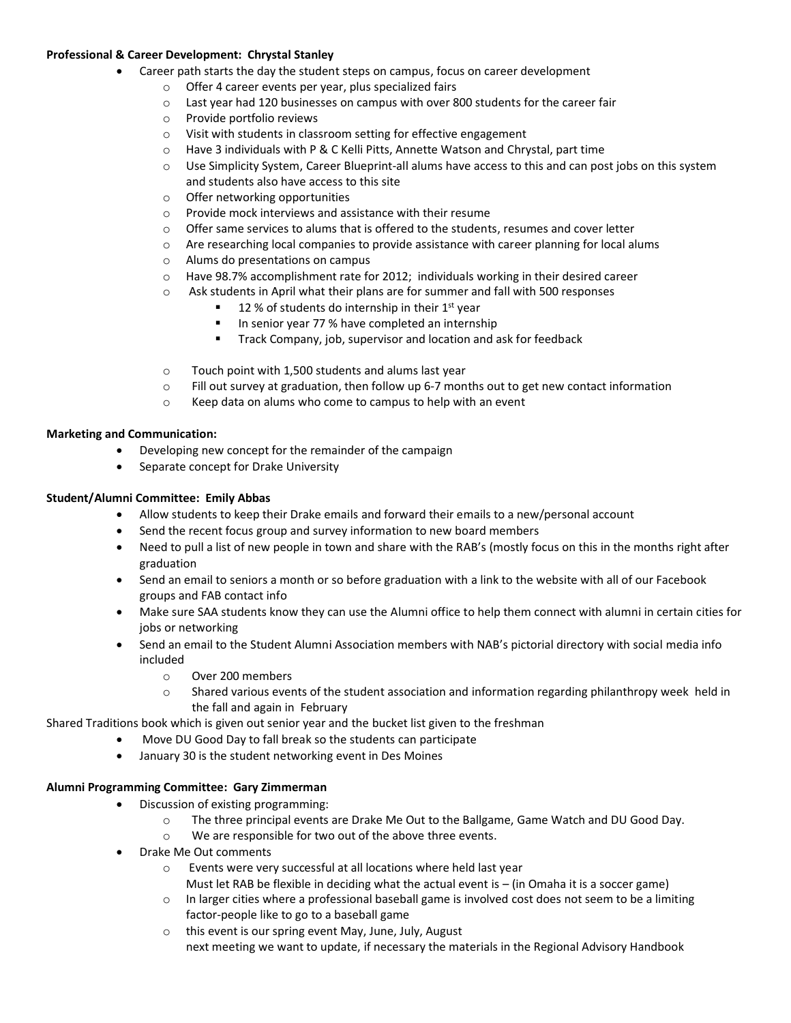#### **Professional & Career Development: Chrystal Stanley**

- Career path starts the day the student steps on campus, focus on career development
	- o Offer 4 career events per year, plus specialized fairs
	- $\circ$  Last year had 120 businesses on campus with over 800 students for the career fair
	- o Provide portfolio reviews
	- o Visit with students in classroom setting for effective engagement
	- $\circ$  Have 3 individuals with P & C Kelli Pitts, Annette Watson and Chrystal, part time
	- $\circ$  Use Simplicity System, Career Blueprint-all alums have access to this and can post jobs on this system and students also have access to this site
	- o Offer networking opportunities
	- o Provide mock interviews and assistance with their resume
	- $\circ$  Offer same services to alums that is offered to the students, resumes and cover letter
	- o Are researching local companies to provide assistance with career planning for local alums
	- o Alums do presentations on campus
	- o Have 98.7% accomplishment rate for 2012; individuals working in their desired career
	- o Ask students in April what their plans are for summer and fall with 500 responses
		- 12 % of students do internship in their  $1<sup>st</sup>$  year
		- In senior year 77 % have completed an internship
		- Track Company, job, supervisor and location and ask for feedback
	- o Touch point with 1,500 students and alums last year
	- $\circ$  Fill out survey at graduation, then follow up 6-7 months out to get new contact information
	- o Keep data on alums who come to campus to help with an event

#### **Marketing and Communication:**

- Developing new concept for the remainder of the campaign
- Separate concept for Drake University

#### **Student/Alumni Committee: Emily Abbas**

- Allow students to keep their Drake emails and forward their emails to a new/personal account
- Send the recent focus group and survey information to new board members
- Need to pull a list of new people in town and share with the RAB's (mostly focus on this in the months right after graduation
- Send an email to seniors a month or so before graduation with a link to the website with all of our Facebook groups and FAB contact info
- Make sure SAA students know they can use the Alumni office to help them connect with alumni in certain cities for jobs or networking
- Send an email to the Student Alumni Association members with NAB's pictorial directory with social media info included
	- o Over 200 members
	- o Shared various events of the student association and information regarding philanthropy week held in the fall and again in February

Shared Traditions book which is given out senior year and the bucket list given to the freshman

- Move DU Good Day to fall break so the students can participate
- January 30 is the student networking event in Des Moines

#### **Alumni Programming Committee: Gary Zimmerman**

- Discussion of existing programming:
	- o The three principal events are Drake Me Out to the Ballgame, Game Watch and DU Good Day.
	- o We are responsible for two out of the above three events.
- Drake Me Out comments
	- o Events were very successful at all locations where held last year Must let RAB be flexible in deciding what the actual event is  $-$  (in Omaha it is a soccer game)
	- $\circ$  In larger cities where a professional baseball game is involved cost does not seem to be a limiting factor-people like to go to a baseball game
	- o this event is our spring event May, June, July, August next meeting we want to update, if necessary the materials in the Regional Advisory Handbook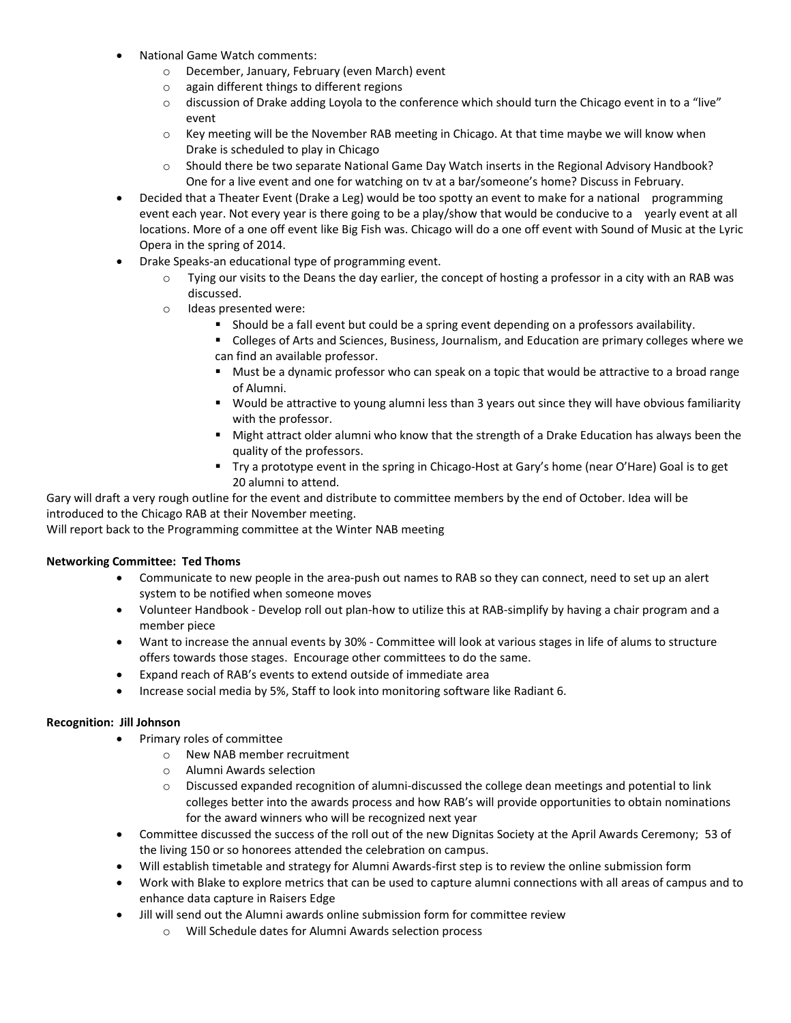- National Game Watch comments:
	- o December, January, February (even March) event
	- o again different things to different regions
	- $\circ$  discussion of Drake adding Loyola to the conference which should turn the Chicago event in to a "live" event
	- $\circ$  Key meeting will be the November RAB meeting in Chicago. At that time maybe we will know when Drake is scheduled to play in Chicago
	- o Should there be two separate National Game Day Watch inserts in the Regional Advisory Handbook? One for a live event and one for watching on tv at a bar/someone's home? Discuss in February.
- Decided that a Theater Event (Drake a Leg) would be too spotty an event to make for a national programming event each year. Not every year is there going to be a play/show that would be conducive to a yearly event at all locations. More of a one off event like Big Fish was. Chicago will do a one off event with Sound of Music at the Lyric Opera in the spring of 2014.
- Drake Speaks-an educational type of programming event.
	- o Tying our visits to the Deans the day earlier, the concept of hosting a professor in a city with an RAB was discussed.
	- o Ideas presented were:
		- Should be a fall event but could be a spring event depending on a professors availability.
		- Colleges of Arts and Sciences, Business, Journalism, and Education are primary colleges where we can find an available professor.
		- Must be a dynamic professor who can speak on a topic that would be attractive to a broad range of Alumni.
		- Would be attractive to young alumni less than 3 years out since they will have obvious familiarity with the professor.
		- Might attract older alumni who know that the strength of a Drake Education has always been the quality of the professors.
		- Try a prototype event in the spring in Chicago-Host at Gary's home (near O'Hare) Goal is to get 20 alumni to attend.

Gary will draft a very rough outline for the event and distribute to committee members by the end of October. Idea will be introduced to the Chicago RAB at their November meeting.

Will report back to the Programming committee at the Winter NAB meeting

#### **Networking Committee: Ted Thoms**

- Communicate to new people in the area-push out names to RAB so they can connect, need to set up an alert system to be notified when someone moves
- Volunteer Handbook Develop roll out plan-how to utilize this at RAB-simplify by having a chair program and a member piece
- Want to increase the annual events by 30% Committee will look at various stages in life of alums to structure offers towards those stages. Encourage other committees to do the same.
- Expand reach of RAB's events to extend outside of immediate area
- Increase social media by 5%, Staff to look into monitoring software like Radiant 6.

# **Recognition: Jill Johnson**

- Primary roles of committee
	- o New NAB member recruitment
	- o Alumni Awards selection
	- $\circ$  Discussed expanded recognition of alumni-discussed the college dean meetings and potential to link colleges better into the awards process and how RAB's will provide opportunities to obtain nominations for the award winners who will be recognized next year
- Committee discussed the success of the roll out of the new Dignitas Society at the April Awards Ceremony; 53 of the living 150 or so honorees attended the celebration on campus.
- Will establish timetable and strategy for Alumni Awards-first step is to review the online submission form
- Work with Blake to explore metrics that can be used to capture alumni connections with all areas of campus and to enhance data capture in Raisers Edge
- Jill will send out the Alumni awards online submission form for committee review
	- o Will Schedule dates for Alumni Awards selection process